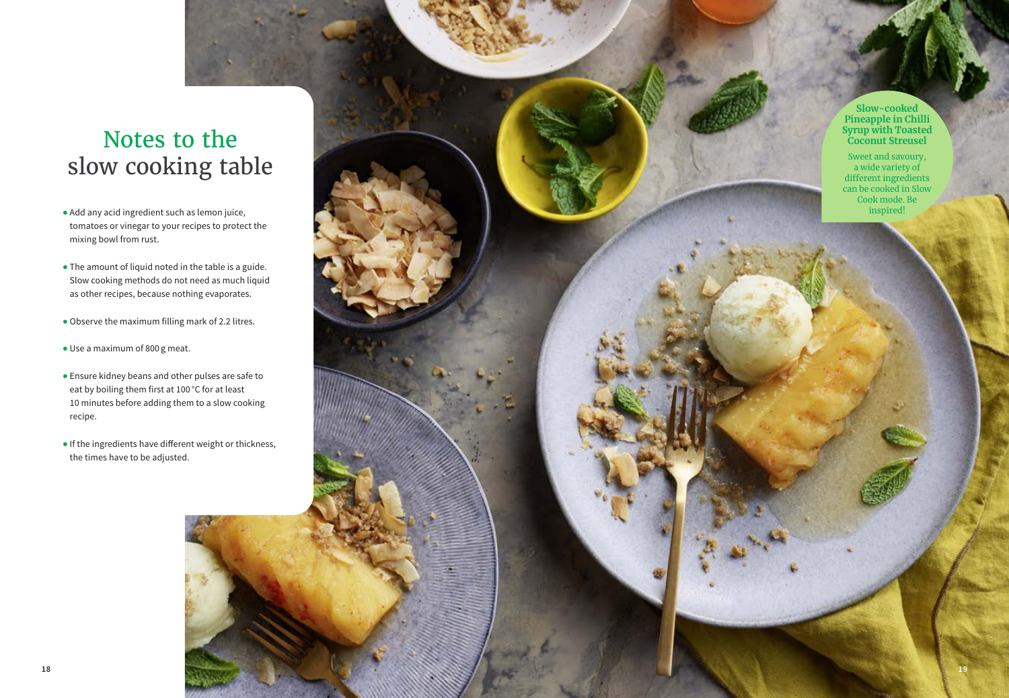## Notes to the slow cooking table

- tomatoes or vinegar to your recipes to protect the mixing bowl from rust.
- The amount of liquid noted in the table is a guide. Slow cooking methods do not need as much liquid as other recipes, because nothing evaporates.
- Observe the maximum filling mark of 2.2 litres.
- Use a maximum of 800 g meat.
- **<sup>18</sup> <sup>19</sup>** Add any acid ingredient such as lemon juice, • Ensure kidney beans and other pulses are safe to eat by boiling them first at 100 °C for at least 10 minutes before adding them to a slow cooking recipe.
	- If the ingredients have different weight or thickness, the times have to be adjusted.

**Slow-cooked Pineapple in Chilli Syrup with Toasted Coconut Streusel** 

Sweet and savoury, a wide variety of different ingredients can be cooked in Slow Cook mode. Be inspired!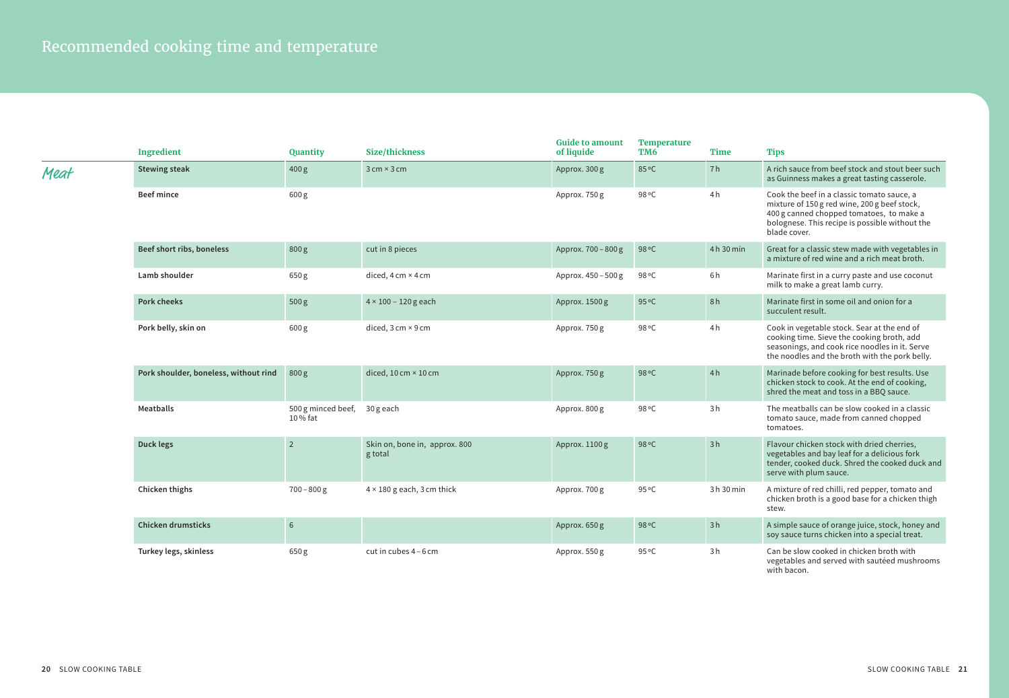|      | <b>Ingredient</b>                     | Quantity                      | Size/thickness                              | <b>Guide to amount</b><br>of liquide | Temperature<br>TM <sub>6</sub> | Time       | <b>Tips</b>                                                                                                                                                                                              |
|------|---------------------------------------|-------------------------------|---------------------------------------------|--------------------------------------|--------------------------------|------------|----------------------------------------------------------------------------------------------------------------------------------------------------------------------------------------------------------|
| Meat | <b>Stewing steak</b>                  | 400 g                         | $3$ cm $\times$ 3 cm                        | Approx. 300 g                        | 85 °C                          | 7h         | A rich sauce from beef stock and stout beer such<br>as Guinness makes a great tasting casserole.                                                                                                         |
|      | <b>Beef mince</b>                     | 600g                          |                                             | Approx. 750 g                        | 98 °C                          | 4h         | Cook the beef in a classic tomato sauce, a<br>mixture of 150 g red wine, 200 g beef stock,<br>400 g canned chopped tomatoes, to make a<br>bolognese. This recipe is possible without the<br>blade cover. |
|      | Beef short ribs, boneless             | 800g                          | cut in 8 pieces                             | Approx. 700 - 800 g                  | 98 °C                          | 4h 30 min  | Great for a classic stew made with vegetables in<br>a mixture of red wine and a rich meat broth.                                                                                                         |
|      | Lamb shoulder                         | 650 g                         | diced, $4 \text{ cm} \times 4 \text{ cm}$   | Approx. 450 - 500 g                  | 98 °C                          | 6h         | Marinate first in a curry paste and use coconut<br>milk to make a great lamb curry.                                                                                                                      |
|      | <b>Pork cheeks</b>                    | 500 g                         | $4 \times 100 - 120$ g each                 | Approx. 1500 g                       | 95 °C                          | 8h         | Marinate first in some oil and onion for a<br>succulent result.                                                                                                                                          |
|      | Pork belly, skin on                   | 600 g                         | diced, $3 \text{ cm} \times 9 \text{ cm}$   | Approx. 750 g                        | 98 °C                          | 4h         | Cook in vegetable stock. Sear at the end of<br>cooking time. Sieve the cooking broth, add<br>seasonings, and cook rice noodles in it. Serve<br>the noodles and the broth with the pork belly.            |
|      | Pork shoulder, boneless, without rind | 800 g                         | diced, $10 \text{ cm} \times 10 \text{ cm}$ | Approx. 750 g                        | 98 °C                          | 4h         | Marinade before cooking for best results. Use<br>chicken stock to cook. At the end of cooking,<br>shred the meat and toss in a BBQ sauce.                                                                |
|      | Meatballs                             | 500 g minced beef,<br>10% fat | 30 g each                                   | Approx. 800 g                        | 98 °C                          | 3h         | The meatballs can be slow cooked in a classic<br>tomato sauce, made from canned chopped<br>tomatoes.                                                                                                     |
|      | Duck legs                             | $\overline{2}$                | Skin on, bone in, approx. 800<br>g total    | Approx. 1100g                        | 98 °C                          | 3h         | Flavour chicken stock with dried cherries,<br>vegetables and bay leaf for a delicious fork<br>tender, cooked duck. Shred the cooked duck and<br>serve with plum sauce.                                   |
|      | Chicken thighs                        | $700 - 800$ g                 | $4 \times 180$ g each, 3 cm thick           | Approx. 700 g                        | 95 °C                          | 3 h 30 min | A mixture of red chilli, red pepper, tomato and<br>chicken broth is a good base for a chicken thigh<br>stew.                                                                                             |
|      | Chicken drumsticks                    | 6                             |                                             | Approx. 650g                         | 98 °C                          | 3h         | A simple sauce of orange juice, stock, honey and<br>soy sauce turns chicken into a special treat.                                                                                                        |
|      | Turkey legs, skinless                 | 650 g                         | cut in cubes 4 - 6 cm                       | Approx. 550 g                        | 95 °C                          | 3h         | Can be slow cooked in chicken broth with<br>vegetables and served with sautéed mushrooms<br>with bacon.                                                                                                  |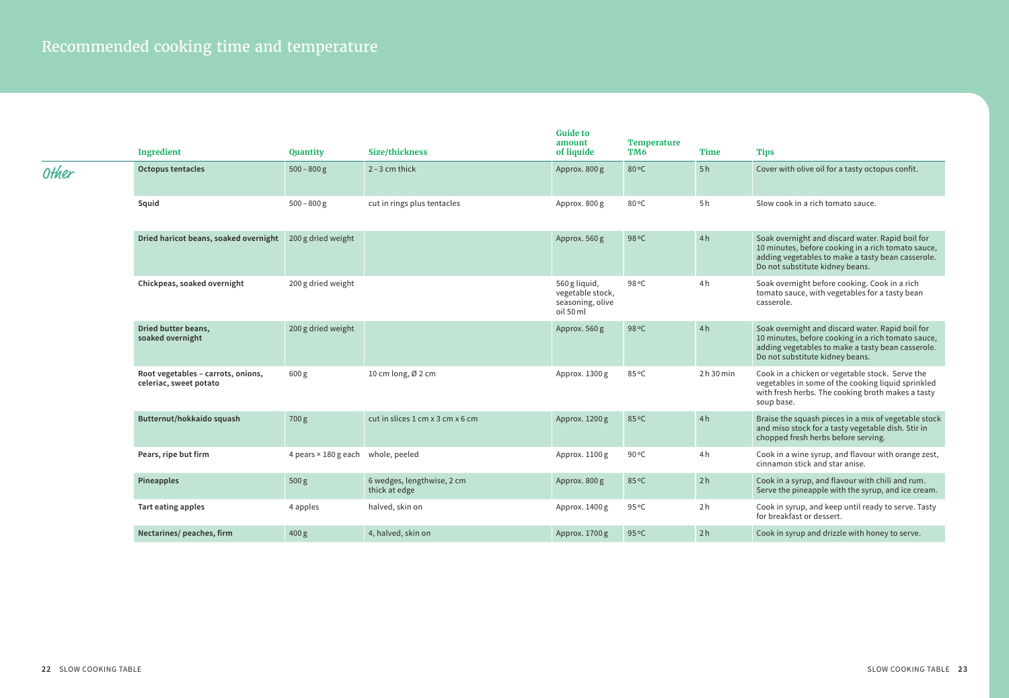|              | Ingredient                                                   | Quantity                                  | Size/thickness                              | <b>Guide to</b><br>amount<br>of liquide                            | <b>Temperature</b><br>TM6 | <b>Time</b>    | <b>Tips</b>                                                                                                                                                                                    |
|--------------|--------------------------------------------------------------|-------------------------------------------|---------------------------------------------|--------------------------------------------------------------------|---------------------------|----------------|------------------------------------------------------------------------------------------------------------------------------------------------------------------------------------------------|
| <b>Other</b> | Octopus tentacles                                            | $500 - 800$ g                             | $2 - 3$ cm thick                            | Approx. 800 g                                                      | 80°C                      | 5h             | Cover with olive oil for a tasty octopus confit.                                                                                                                                               |
|              | Squid                                                        | $500 - 800$ g                             | cut in rings plus tentacles                 | Approx. 800 g                                                      | 80°C                      | 5h             | Slow cook in a rich tomato sauce.                                                                                                                                                              |
|              | Dried haricot beans, soaked overnight 200 g dried weight     |                                           |                                             | Approx. 560 g                                                      | 98 °C                     | 4h             | Soak overnight and discard water. Rapid boil for<br>10 minutes, before cooking in a rich tomato sauce,<br>adding vegetables to make a tasty bean casserole.<br>Do not substitute kidney beans. |
|              | Chickpeas, soaked overnight                                  | 200 g dried weight                        |                                             | 560 g liquid,<br>vegetable stock,<br>seasoning, olive<br>oil 50 ml | 98 °C                     | 4 <sub>h</sub> | Soak overnight before cooking. Cook in a rich<br>tomato sauce, with vegetables for a tasty bean<br>casserole.                                                                                  |
|              | Dried butter beans,<br>soaked overnight                      | 200 g dried weight                        |                                             | Approx. 560 g                                                      | 98 °C                     | 4h             | Soak overnight and discard water. Rapid boil for<br>10 minutes, before cooking in a rich tomato sauce,<br>adding vegetables to make a tasty bean casserole.<br>Do not substitute kidney beans. |
|              | Root vegetables - carrots, onions,<br>celeriac, sweet potato | 600 <sub>g</sub>                          | 10 cm long, $Ø$ 2 cm                        | Approx. 1300 g                                                     | 85°C                      | 2h30min        | Cook in a chicken or vegetable stock. Serve the<br>vegetables in some of the cooking liquid sprinkled<br>with fresh herbs. The cooking broth makes a tasty<br>soup base.                       |
|              | Butternut/hokkaido squash                                    | 700 g                                     | cut in slices 1 cm x 3 cm x 6 cm            | Approx. 1200 g                                                     | 85°C                      | 4h             | Braise the squash pieces in a mix of vegetable stock<br>and miso stock for a tasty vegetable dish. Stir in<br>chopped fresh herbs before serving.                                              |
|              | Pears, ripe but firm                                         | 4 pears $\times$ 180 g each whole, peeled |                                             | Approx. 1100 g                                                     | 90 °C                     | 4 <sub>h</sub> | Cook in a wine syrup, and flavour with orange zest,<br>cinnamon stick and star anise.                                                                                                          |
|              | Pineapples                                                   | 500 g                                     | 6 wedges, lengthwise, 2 cm<br>thick at edge | Approx. 800 g                                                      | 85°C                      | 2h             | Cook in a syrup, and flavour with chili and rum.<br>Serve the pineapple with the syrup, and ice cream.                                                                                         |
|              | Tart eating apples                                           | 4 apples                                  | halved, skin on                             | Approx. 1400 g                                                     | 95 °C                     | 2 <sub>h</sub> | Cook in syrup, and keep until ready to serve. Tasty<br>for breakfast or dessert.                                                                                                               |
|              | Nectarines/peaches, firm                                     | 400 g                                     | 4, halved, skin on                          | Approx. 1700 g                                                     | 95 °C                     | 2h             | Cook in syrup and drizzle with honey to serve.                                                                                                                                                 |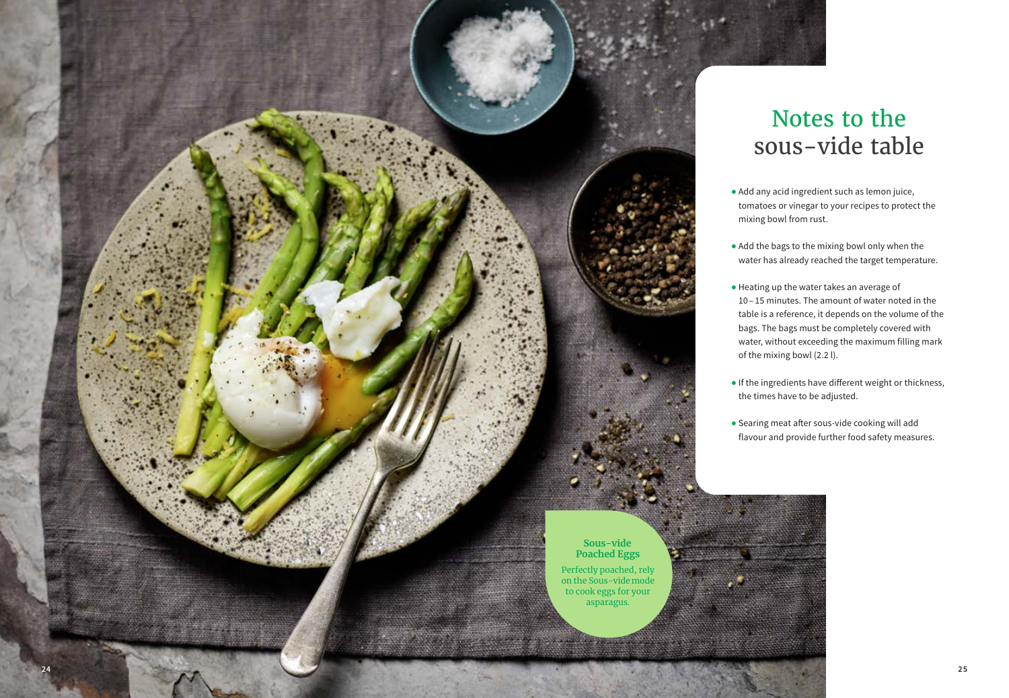

## Notes to the sous-vide table

- Add any acid ingredient such as lemon juice, tomatoes or vinegar to your recipes to protect the mixing bowl from rust.
- Add the bags to the mixing bowl only when the water has already reached the target temperature.
- Heating up the water takes an average of 10 – 15 minutes. The amount of water noted in the table is a reference, it depends on the volume of the bags. The bags must be completely covered with water, without exceeding the maximum filling mark of the mixing bowl (2.2 l).
- If the ingredients have different weight or thickness, the times have to be adjusted.
- Searing meat after sous-vide cooking will add flavour and provide further food safety measures.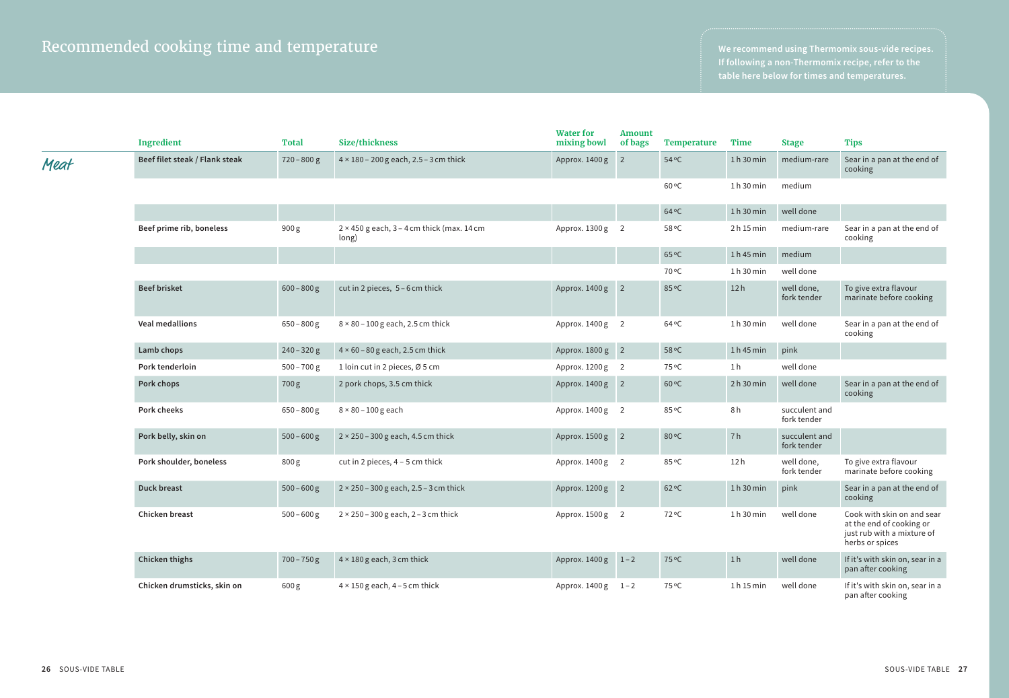**If following a non-Thermomix recipe, refer to the** 

|      | Ingredient                     | <b>Total</b>  | Size/thickness                                               | <b>Water for</b><br>mixing bowl | <b>Amount</b><br>of bags | <b>Temperature</b> | <b>Time</b>    | <b>Stage</b>                 | <b>Tips</b>                                                                                             |
|------|--------------------------------|---------------|--------------------------------------------------------------|---------------------------------|--------------------------|--------------------|----------------|------------------------------|---------------------------------------------------------------------------------------------------------|
| Meat | Beef filet steak / Flank steak | $720 - 800$ g | $4 \times 180 - 200$ g each, 2.5 - 3 cm thick                | Approx. 1400 g 2                |                          | $54^{\circ}$ C     | 1h30min        | medium-rare                  | Sear in a pan at the end of<br>cooking                                                                  |
|      |                                |               |                                                              |                                 |                          | 60 °C              | 1h30min        | medium                       |                                                                                                         |
|      |                                |               |                                                              |                                 |                          | $64^{\circ}$ C     | 1h30min        | well done                    |                                                                                                         |
|      | Beef prime rib, boneless       | 900g          | $2 \times 450$ g each, $3 - 4$ cm thick (max. 14 cm<br>long) | Approx. 1300 g 2                |                          | 58 °C              | 2h15min        | medium-rare                  | Sear in a pan at the end of<br>cooking                                                                  |
|      |                                |               |                                                              |                                 |                          | 65 °C              | $1h45$ min     | medium                       |                                                                                                         |
|      |                                |               |                                                              |                                 |                          | 70 °C              | 1h 30 min      | well done                    |                                                                                                         |
|      | <b>Beef brisket</b>            | $600 - 800$ g | cut in 2 pieces, 5-6 cm thick                                | Approx. 1400 g 2                |                          | 85 °C              | 12h            | well done,<br>fork tender    | To give extra flavour<br>marinate before cooking                                                        |
|      | <b>Veal medallions</b>         | $650 - 800$ g | $8 \times 80 - 100$ g each, 2.5 cm thick                     | Approx. 1400 g 2                |                          | 64 °C              | 1h 30 min      | well done                    | Sear in a pan at the end of<br>cooking                                                                  |
|      | Lamb chops                     | $240 - 320$ g | $4 \times 60 - 80$ g each, 2.5 cm thick                      | Approx. 1800 g 2                |                          | 58 °C              | $1h45$ min     | pink                         |                                                                                                         |
|      | Pork tenderloin                | $500 - 700$ g | 1 loin cut in 2 pieces, Ø 5 cm                               | Approx. 1200 g 2                |                          | 75 °C              | 1 h            | well done                    |                                                                                                         |
|      | Pork chops                     | 700g          | 2 pork chops, 3.5 cm thick                                   | Approx. 1400 g 2                |                          | 60 °C              | 2h30min        | well done                    | Sear in a pan at the end of<br>cooking                                                                  |
|      | <b>Pork cheeks</b>             | $650 - 800$ g | $8 \times 80 - 100$ g each                                   | Approx. 1400 g 2                |                          | 85 °C              | 8h             | succulent and<br>fork tender |                                                                                                         |
|      | Pork belly, skin on            | $500 - 600$ g | $2 \times 250 - 300$ g each, 4.5 cm thick                    | Approx. 1500 g 2                |                          | 80 °C              | 7h             | succulent and<br>fork tender |                                                                                                         |
|      | Pork shoulder, boneless        | 800g          | cut in 2 pieces, $4 - 5$ cm thick                            | Approx. 1400 g 2                |                          | 85 °C              | 12 h           | well done,<br>fork tender    | To give extra flavour<br>marinate before cooking                                                        |
|      | Duck breast                    | $500 - 600$ g | $2 \times 250 - 300$ g each, $2.5 - 3$ cm thick              | Approx. 1200 g 2                |                          | $62^{\circ}$ C     | 1h30min        | pink                         | Sear in a pan at the end of<br>cooking                                                                  |
|      | Chicken breast                 | $500 - 600$ g | $2 \times 250 - 300$ g each, $2 - 3$ cm thick                | Approx. 1500 g 2                |                          | 72 °C              | 1h30min        | well done                    | Cook with skin on and sear<br>at the end of cooking or<br>just rub with a mixture of<br>herbs or spices |
|      | Chicken thighs                 | $700 - 750$ g | $4 \times 180$ g each, 3 cm thick                            | Approx. 1400 g 1-2              |                          | 75 °C              | 1 <sub>h</sub> | well done                    | If it's with skin on, sear in a<br>pan after cooking                                                    |
|      | Chicken drumsticks, skin on    | 600g          | $4 \times 150$ g each, $4 - 5$ cm thick                      | Approx. 1400 g 1-2              |                          | 75 °C              | 1h 15 min      | well done                    | If it's with skin on, sear in a<br>pan after cooking                                                    |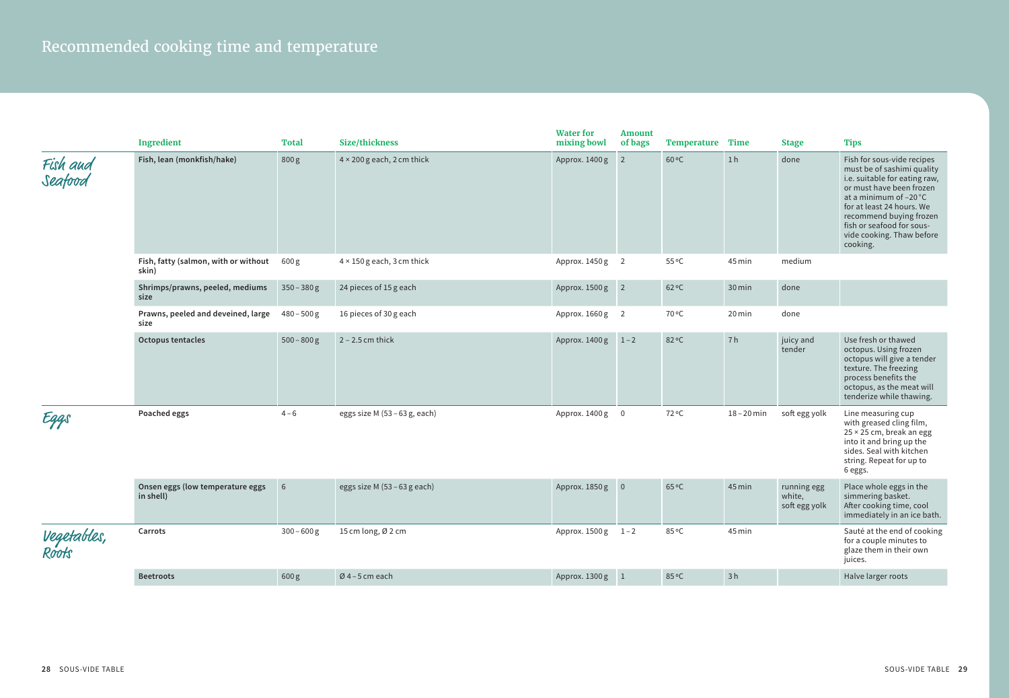|                      | Ingredient                                    | <b>Total</b>  | Size/thickness                    | <b>Water for</b><br>mixing bowl | <b>Amount</b><br>of bags | Temperature Time |                | <b>Stage</b>                           | <b>Tips</b>                                                                                                                                                                                                                                                                   |
|----------------------|-----------------------------------------------|---------------|-----------------------------------|---------------------------------|--------------------------|------------------|----------------|----------------------------------------|-------------------------------------------------------------------------------------------------------------------------------------------------------------------------------------------------------------------------------------------------------------------------------|
| Fish aud<br>Seafood  | Fish, lean (monkfish/hake)                    | 800g          | $4 \times 200$ g each, 2 cm thick | Approx. 1400 g 2                |                          | $60^{\circ}$ C   | 1 <sub>h</sub> | done                                   | Fish for sous-vide recipes<br>must be of sashimi quality<br>i.e. suitable for eating raw,<br>or must have been frozen<br>at a minimum of -20 °C<br>for at least 24 hours. We<br>recommend buying frozen<br>fish or seafood for sous-<br>vide cooking. Thaw before<br>cooking. |
|                      | Fish, fatty (salmon, with or without<br>skin) | 600 g         | $4 \times 150$ g each, 3 cm thick | Approx. 1450 g 2                |                          | 55 °C            | 45 min         | medium                                 |                                                                                                                                                                                                                                                                               |
|                      | Shrimps/prawns, peeled, mediums<br>size       | $350 - 380$ g | 24 pieces of 15 g each            | Approx. 1500 g 2                |                          | $62^{\circ}$ C   | 30 min         | done                                   |                                                                                                                                                                                                                                                                               |
|                      | Prawns, peeled and deveined, large<br>size    | $480 - 500$ g | 16 pieces of 30 g each            | Approx. 1660 g 2                |                          | 70 °C            | 20 min         | done                                   |                                                                                                                                                                                                                                                                               |
|                      | <b>Octopus tentacles</b>                      | $500 - 800$ g | $2 - 2.5$ cm thick                | Approx. 1400g                   | $1 - 2$                  | 82°C             | 7h             | juicy and<br>tender                    | Use fresh or thawed<br>octopus. Using frozen<br>octopus will give a tender<br>texture. The freezing<br>process benefits the<br>octopus, as the meat will<br>tenderize while thawing.                                                                                          |
| Eggs                 | Poached eggs                                  | $4 - 6$       | eggs size M (53 – 63 g, each)     | Approx. 1400 g 0                |                          | 72 °C            | $18 - 20$ min  | soft egg yolk                          | Line measuring cup<br>with greased cling film,<br>25 × 25 cm, break an egg<br>into it and bring up the<br>sides. Seal with kitchen<br>string. Repeat for up to<br>6 eggs.                                                                                                     |
|                      | Onsen eggs (low temperature eggs<br>in shell) | 6             | eggs size M $(53 - 63$ g each)    | Approx. 1850 g 0                |                          | 65°C             | 45 min         | running egg<br>white,<br>soft egg yolk | Place whole eggs in the<br>simmering basket.<br>After cooking time, cool<br>immediately in an ice bath.                                                                                                                                                                       |
| Vegetables,<br>Roots | Carrots                                       | $300 - 600$ g | 15 cm long, Ø 2 cm                | Approx. 1500 g 1-2              |                          | 85°C             | 45 min         |                                        | Sauté at the end of cooking<br>for a couple minutes to<br>glaze them in their own<br>juices.                                                                                                                                                                                  |
|                      | <b>Beetroots</b>                              | 600g          | $Ø$ 4-5 cm each                   | Approx. 1300 g 1                |                          | 85°C             | 3h             |                                        | Halve larger roots                                                                                                                                                                                                                                                            |